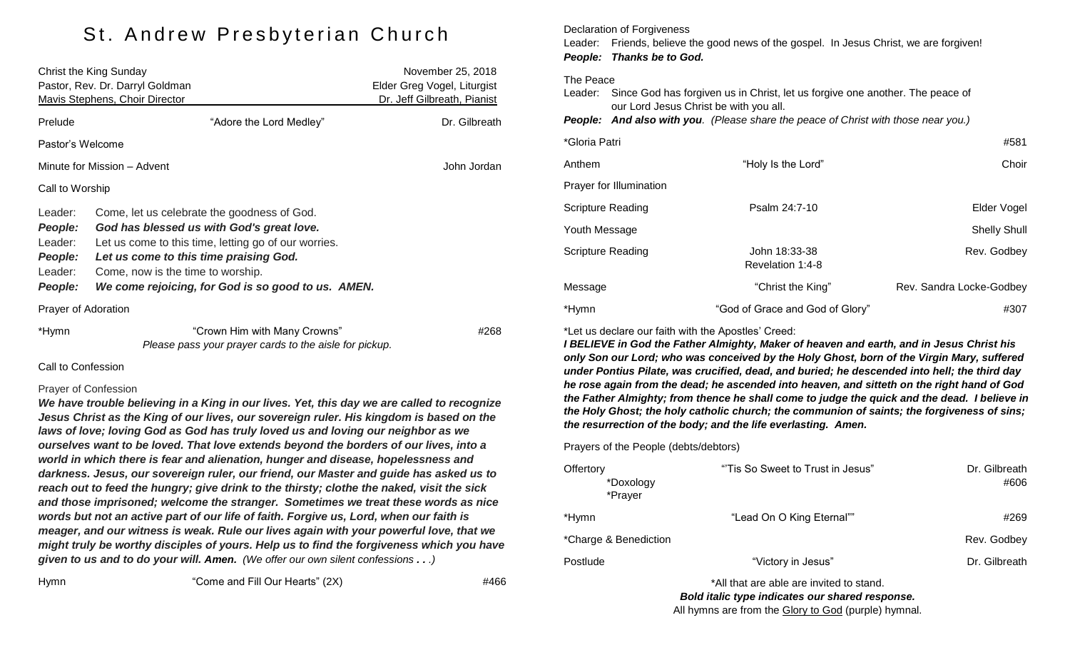## St. Andrew Presbyterian Church

| Christ the King Sunday                |                                                        | November 25, 2018           |  |  |
|---------------------------------------|--------------------------------------------------------|-----------------------------|--|--|
| Pastor, Rev. Dr. Darryl Goldman       |                                                        | Elder Greg Vogel, Liturgist |  |  |
| <b>Mavis Stephens, Choir Director</b> |                                                        | Dr. Jeff Gilbreath, Pianist |  |  |
| Prelude                               | "Adore the Lord Medley"                                | Dr. Gilbreath               |  |  |
| Pastor's Welcome                      |                                                        |                             |  |  |
| Minute for Mission - Advent           |                                                        | John Jordan                 |  |  |
| Call to Worship                       |                                                        |                             |  |  |
| Leader:                               | Come, let us celebrate the goodness of God.            |                             |  |  |
| People:                               | God has blessed us with God's great love.              |                             |  |  |
| Leader:                               | Let us come to this time, letting go of our worries.   |                             |  |  |
| People:                               | Let us come to this time praising God.                 |                             |  |  |
| Leader:                               | Come, now is the time to worship.                      |                             |  |  |
| People:                               | We come rejoicing, for God is so good to us. AMEN.     |                             |  |  |
| Prayer of Adoration                   |                                                        |                             |  |  |
| *Hymn                                 | "Crown Him with Many Crowns"                           | #268                        |  |  |
|                                       | Please pass your prayer cards to the aisle for pickup. |                             |  |  |

#### Call to Confession

#### Prayer of Confession

*We have trouble believing in a King in our lives. Yet, this day we are called to recognize Jesus Christ as the King of our lives, our sovereign ruler. His kingdom is based on the laws of love; loving God as God has truly loved us and loving our neighbor as we ourselves want to be loved. That love extends beyond the borders of our lives, into a world in which there is fear and alienation, hunger and disease, hopelessness and darkness. Jesus, our sovereign ruler, our friend, our Master and guide has asked us to reach out to feed the hungry; give drink to the thirsty; clothe the naked, visit the sick and those imprisoned; welcome the stranger. Sometimes we treat these words as nice words but not an active part of our life of faith. Forgive us, Lord, when our faith is meager, and our witness is weak. Rule our lives again with your powerful love, that we might truly be worthy disciples of yours. Help us to find the forgiveness which you have given to us and to do your will. Amen. (We offer our own silent confessions . . .)*

Hymn "Come and Fill Our Hearts" (2X) #466

Declaration of Forgiveness Leader: Friends, believe the good news of the gospel. In Jesus Christ, we are forgiven! *People: Thanks be to God.* The Peace Leader: Since God has forgiven us in Christ, let us forgive one another. The peace of our Lord Jesus Christ be with you all. *People: And also with you. (Please share the peace of Christ with those near you.)* \*Gloria Patri #581 Anthem **Example 2** The Monthly Is the Lord" **Choir** Choir Choir Prayer for Illumination Scripture Reading **Provides Access Psalm 24:7-10 Provides Access Providence Access Providence Providence Provident** Youth Message Shelly Shull Shelly Shull Shelly Shull Shelly Shull Shelly Shull Shelly Shull Shelly Shull Shelly Shull Shelly Shull Shelly Shull Shelly Shull Shelly Shull Shelly Shull Shelly Shull Shelly Shull Shelly Shull Scripture Reading The Music Scripture Reading Communication of the John 18:33-38 Rev. Godbey Revelation 1:4-8 Message The Christ the King" Rev. Sandra Locke-Godbey

#### \*Let us declare our faith with the Apostles' Creed:

*I BELIEVE in God the Father Almighty, Maker of heaven and earth, and in Jesus Christ his only Son our Lord; who was conceived by the Holy Ghost, born of the Virgin Mary, suffered under Pontius Pilate, was crucified, dead, and buried; he descended into hell; the third day he rose again from the dead; he ascended into heaven, and sitteth on the right hand of God the Father Almighty; from thence he shall come to judge the quick and the dead. I believe in the Holy Ghost; the holy catholic church; the communion of saints; the forgiveness of sins; the resurrection of the body; and the life everlasting. Amen.*

\*Hymn "God of Grace and God of Glory" #307

#### Prayers of the People (debts/debtors)

| Offertory<br>*Doxology<br>*Prayer | "Tis So Sweet to Trust in Jesus" | Dr. Gilbreath<br>#606 |
|-----------------------------------|----------------------------------|-----------------------|
| *Hymn                             | "Lead On O King Eternal""        | #269                  |
| *Charge & Benediction             |                                  | Rev. Godbey           |
| Postlude                          | "Victory in Jesus"               | Dr. Gilbreath         |
|                                   |                                  |                       |

\*All that are able are invited to stand. *Bold italic type indicates our shared response.* All hymns are from the Glory to God (purple) hymnal.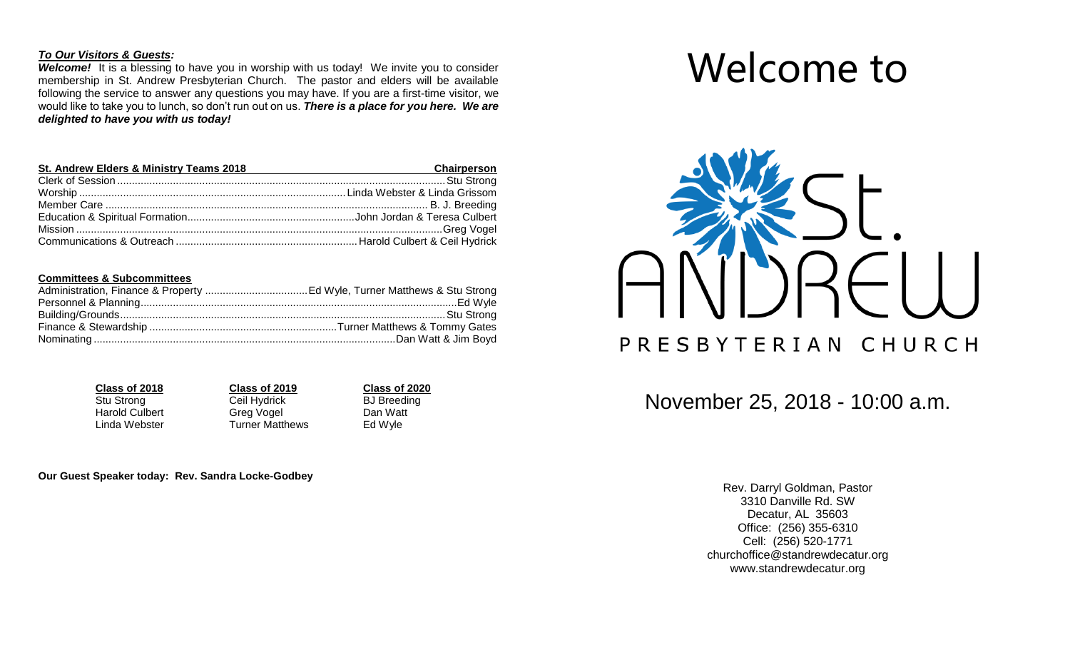#### *To Our Visitors & Guests:*

**Welcome!** It is a blessing to have you in worship with us today! We invite you to consider membership in St. Andrew Presbyterian Church. The pastor and elders will be available following the service to answer any questions you may have. If you are a first-time visitor, we would like to take you to lunch, so don't run out on us. *There is a place for you here. We are delighted to have you with us today!*

| St. Andrew Elders & Ministry Teams 2018 | <b>Chairperson</b> |  |
|-----------------------------------------|--------------------|--|
|                                         |                    |  |
|                                         |                    |  |
|                                         |                    |  |
|                                         |                    |  |
|                                         |                    |  |
|                                         |                    |  |

#### **Committees & Subcommittees**

**Class of 2018**<br> **Class of 2019**<br> **Cell Hydrick**<br> **Cell Hydrick**<br> **Cell Hydrick**<br> **CLASS**<br> **CLASS**<br> **CLASS**<br> **CLASS**<br> **CLASS**<br> **CLASS**<br> **CLASS**<br> **CLASS**<br> **CLASS Ceil Hydrick BJ Breeding** Harold Culbert **Greg Vogel** Dan Watt Linda Webster **Turner Matthews** Ed Wyle

**Our Guest Speaker today: Rev. Sandra Locke-Godbey**

# Welcome to



November 25, 2018 - 10:00 a.m.

Rev. Darryl Goldman, Pastor 3310 Danville Rd. SW Decatur, AL 35603 Office: (256) 355-6310 Cell: (256) 520-1771 [churchoffice@standrewdecatur.org](mailto:churchoffice@standrewdecatur.org) [www.standrewdecatur.org](http://www.standrewdecatur.org/)